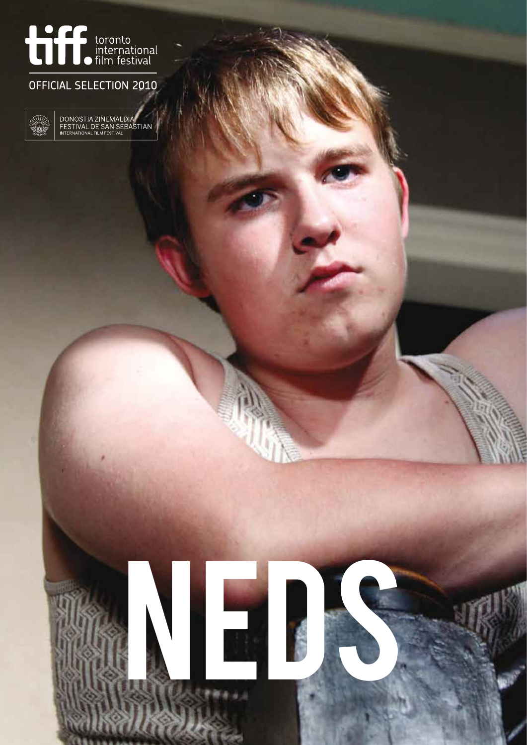

# OFFICIAL SELECTION 2010



DONOSTIA ZINEMALDIA<br>FESTIVAL DE SAN SEBASTIAN<br>INTERNATIONAL FILM FESTIVAL

NEDSCHEIN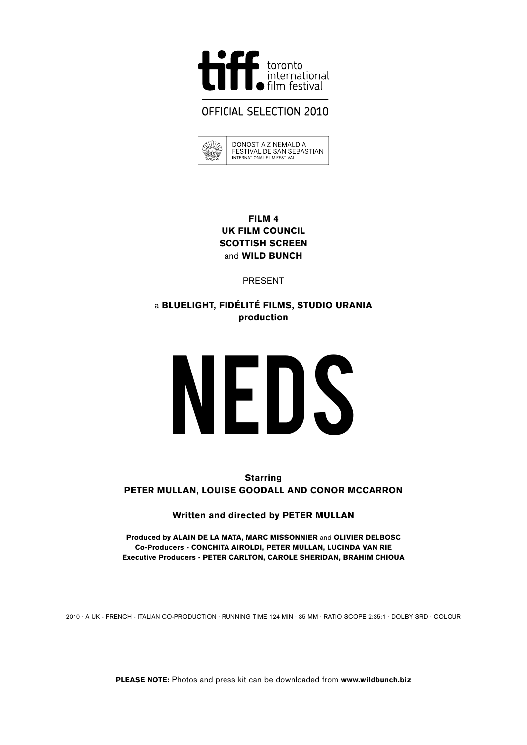

# **OFFICIAL SELECTION 2010**

|  | DONOSTIA ZINEMAL DIA<br>FESTIVAL DE SAN SEBASTIAN<br>INTERNATIONAL FILM FESTIVAL |
|--|----------------------------------------------------------------------------------|
|  |                                                                                  |

#### Film 4 UK Film Council Scottish Screen and **WILD BUNCH**

PRESENT

## a blueLight, FidÉlitÉ Films, Studio Urania production

# NEDS

**Starring** Peter Mullan, Louise Goodall and Conor McCarron

Written and directed by PETER MULLAN

Produced by ALAIN DE LA MATA, MARC MISSONNIER and OLIVIER DELBOSC Co-Producers - Conchita Airoldi, Peter Mullan, Lucinda Van Rie Executive Producers - Peter Carlton, Carole Sheridan, Brahim Chioua

2010 · A UK - FRENCH - ITALIAN CO-PRODUCTION · RUNNING TIME 124 min · 35 MM · RATIO SCOPE 2:35:1 · DOLBY SRD · COLOUR

PLEASE NOTE: Photos and press kit can be downloaded from www.wildbunch.biz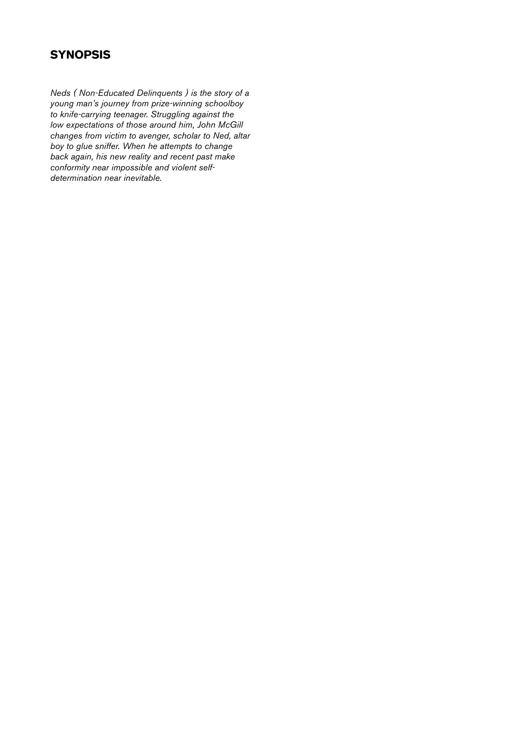# **SYNOPSIS**

*Neds ( Non-Educated Delinquents ) is the story of a young man's journey from prize-winning schoolboy to knife-carrying teenager. Struggling against the low expectations of those around him, John McGill changes from victim to avenger, scholar to Ned, altar boy to glue sniffer. When he attempts to change back again, his new reality and recent past make conformity near impossible and violent selfdetermination near inevitable.*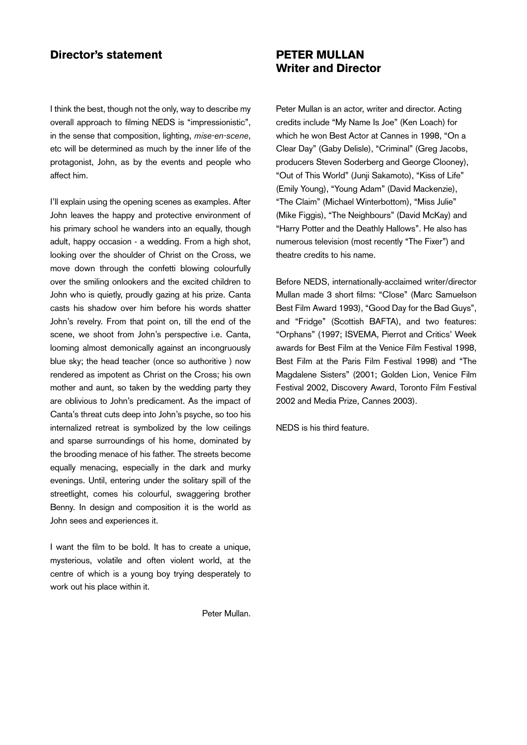#### Director's statement

I think the best, though not the only, way to describe my overall approach to filming NEDS is "impressionistic", in the sense that composition, lighting, *mise-en-scene*, etc will be determined as much by the inner life of the protagonist, John, as by the events and people who affect him.

I'll explain using the opening scenes as examples. After John leaves the happy and protective environment of his primary school he wanders into an equally, though adult, happy occasion - a wedding. From a high shot, looking over the shoulder of Christ on the Cross, we move down through the confetti blowing colourfully over the smiling onlookers and the excited children to John who is quietly, proudly gazing at his prize. Canta casts his shadow over him before his words shatter John's revelry. From that point on, till the end of the scene, we shoot from John's perspective i.e. Canta, looming almost demonically against an incongruously blue sky; the head teacher (once so authoritive ) now rendered as impotent as Christ on the Cross; his own mother and aunt, so taken by the wedding party they are oblivious to John's predicament. As the impact of Canta's threat cuts deep into John's psyche, so too his internalized retreat is symbolized by the low ceilings and sparse surroundings of his home, dominated by the brooding menace of his father. The streets become equally menacing, especially in the dark and murky evenings. Until, entering under the solitary spill of the streetlight, comes his colourful, swaggering brother Benny. In design and composition it is the world as John sees and experiences it.

I want the film to be bold. It has to create a unique, mysterious, volatile and often violent world, at the centre of which is a young boy trying desperately to work out his place within it.

Peter Mullan.

### PETER MULLAN Writer and Director

Peter Mullan is an actor, writer and director. Acting credits include "My Name Is Joe" (Ken Loach) for which he won Best Actor at Cannes in 1998, "On a Clear Day" (Gaby Delisle), "Criminal" (Greg Jacobs, producers Steven Soderberg and George Clooney), "Out of This World" (Junji Sakamoto), "Kiss of Life" (Emily Young), "Young Adam" (David Mackenzie), "The Claim" (Michael Winterbottom), "Miss Julie" (Mike Figgis), "The Neighbours" (David McKay) and "Harry Potter and the Deathly Hallows". He also has numerous television (most recently "The Fixer") and theatre credits to his name.

Before NEDS, internationally-acclaimed writer/director Mullan made 3 short films: "Close" (Marc Samuelson Best Film Award 1993), "Good Day for the Bad Guys", and "Fridge" (Scottish BAFTA), and two features: "Orphans" (1997; ISVEMA, Pierrot and Critics' Week awards for Best Film at the Venice Film Festival 1998, Best Film at the Paris Film Festival 1998) and "The Magdalene Sisters" (2001; Golden Lion, Venice Film Festival 2002, Discovery Award, Toronto Film Festival 2002 and Media Prize, Cannes 2003).

NEDS is his third feature.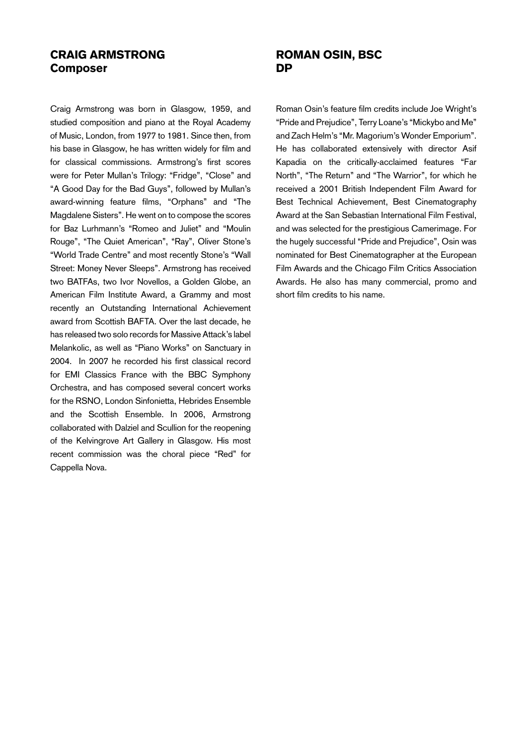#### Craig Armstrong Composer

Craig Armstrong was born in Glasgow, 1959, and studied composition and piano at the Royal Academy of Music, London, from 1977 to 1981. Since then, from his base in Glasgow, he has written widely for film and for classical commissions. Armstrong's first scores were for Peter Mullan's Trilogy: "Fridge", "Close" and "A Good Day for the Bad Guys", followed by Mullan's award-winning feature films, "Orphans" and "The Magdalene Sisters". He went on to compose the scores for Baz Lurhmann's "Romeo and Juliet" and "Moulin Rouge", "The Quiet American", "Ray", Oliver Stone's "World Trade Centre" and most recently Stone's "Wall Street: Money Never Sleeps". Armstrong has received two BATFAs, two Ivor Novellos, a Golden Globe, an American Film Institute Award, a Grammy and most recently an Outstanding International Achievement award from Scottish BAFTA. Over the last decade, he has released two solo records for Massive Attack's label Melankolic, as well as "Piano Works" on Sanctuary in 2004. In 2007 he recorded his first classical record for EMI Classics France with the BBC Symphony Orchestra, and has composed several concert works for the RSNO, London Sinfonietta, Hebrides Ensemble and the Scottish Ensemble. In 2006, Armstrong collaborated with Dalziel and Scullion for the reopening of the Kelvingrove Art Gallery in Glasgow. His most recent commission was the choral piece "Red" for Cappella Nova.

#### ROMAN OSIN, BSc **DP**

Roman Osin's feature film credits include Joe Wright's "Pride and Prejudice", Terry Loane's "Mickybo and Me" and Zach Helm's "Mr. Magorium's Wonder Emporium". He has collaborated extensively with director Asif Kapadia on the critically-acclaimed features "Far North", "The Return" and "The Warrior", for which he received a 2001 British Independent Film Award for Best Technical Achievement, Best Cinematography Award at the San Sebastian International Film Festival, and was selected for the prestigious Camerimage. For the hugely successful "Pride and Prejudice", Osin was nominated for Best Cinematographer at the European Film Awards and the Chicago Film Critics Association Awards. He also has many commercial, promo and short film credits to his name.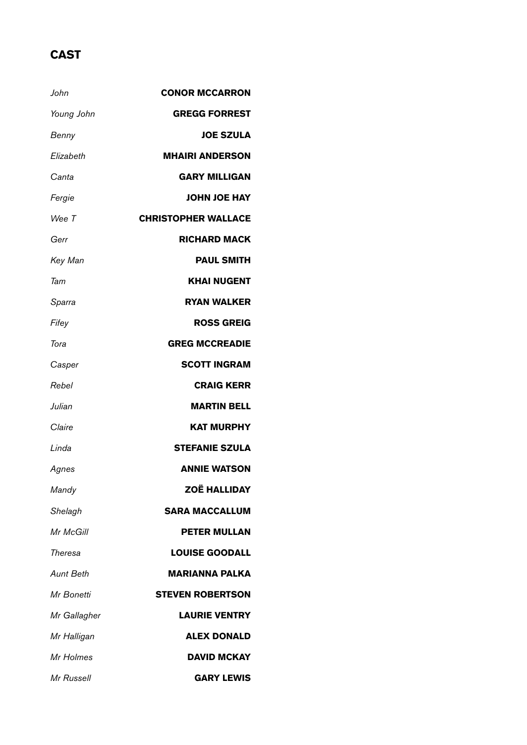# **CAST**

| John         | <b>CONOR MCCARRON</b>      |
|--------------|----------------------------|
| Young John   | <b>GREGG FORREST</b>       |
| Benny        | <b>JOE SZULA</b>           |
| Elizabeth    | <b>MHAIRI ANDERSON</b>     |
| Canta        | <b>GARY MILLIGAN</b>       |
| Fergie       | <b>JOHN JOE HAY</b>        |
| Wee T        | <b>CHRISTOPHER WALLACE</b> |
| Gerr         | <b>RICHARD MACK</b>        |
| Key Man      | <b>PAUL SMITH</b>          |
| Tam          | <b>KHAI NUGENT</b>         |
| Sparra       | <b>RYAN WALKER</b>         |
| Fifey        | <b>ROSS GREIG</b>          |
| Tora         | <b>GREG MCCREADIE</b>      |
| Casper       | <b>SCOTT INGRAM</b>        |
| Rebel        | <b>CRAIG KERR</b>          |
| Julian       | <b>MARTIN BELL</b>         |
| Claire       | <b>KAT MURPHY</b>          |
| Linda        | <b>STEFANIE SZULA</b>      |
| Agnes        | <b>ANNIE WATSON</b>        |
| Mandy        | <b>ZOË HALLIDAY</b>        |
| Shelagh      | <b>SARA MACCALLUM</b>      |
| Mr McGill    | <b>PETER MULLAN</b>        |
| Theresa      | <b>LOUISE GOODALL</b>      |
| Aunt Beth    | <b>MARIANNA PALKA</b>      |
| Mr Bonetti   | <b>STEVEN ROBERTSON</b>    |
| Mr Gallagher | <b>LAURIE VENTRY</b>       |
| Mr Halligan  | <b>ALEX DONALD</b>         |
| Mr Holmes    | <b>DAVID MCKAY</b>         |
| Mr Russell   | <b>GARY LEWIS</b>          |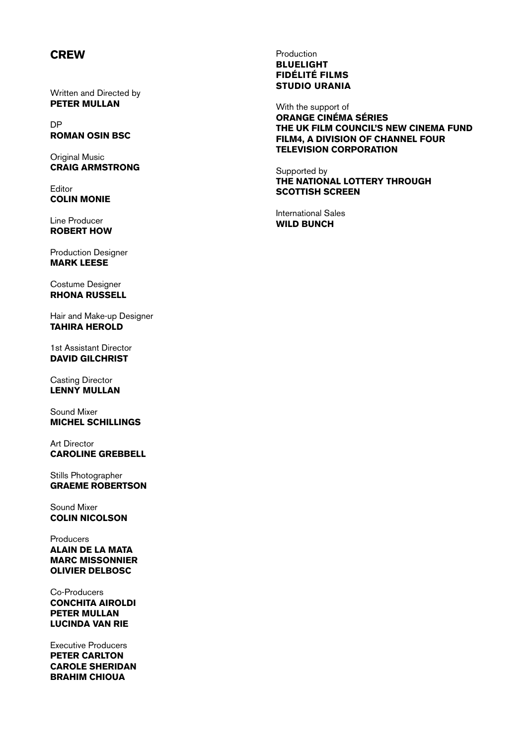### **CREW**

Written and Directed by PETER MULLAN

DP ROMAN OSIN BSC

Original Music CRAIG ARMSTRONG

Editor COLIN MONIE

Line Producer ROBERT HOW

Production Designer MARK LEESE

Costume Designer RHONA RUSSELL

Hair and Make-up Designer TAHIRA HEROLD

1st Assistant Director DAVID GILCHRIST

Casting Director LENNY MULLAN

Sound Mixer MICHEL SCHILLINGS

Art Director CAROLINE GREBBELL

Stills Photographer **GRAEME ROBERTSON** 

Sound Mixer COLIN NICOLSON

Producers ALAIN DE LA MATA MARC MISSONNIER OLIVIER DELBOSC

Co-Producers CONCHITA AIROLDI PETER MULLAN LUCINDA VAN RIE

Executive Producers PETER CARLTON CAROLE SHERIDAN BRAHIM CHIOUA

#### Production **BLUELIGHT** FidÉlitÉ Films Studio Urania

With the support of Orange Cinéma Séries the UK Film Council's New Cinema Fund Film4, a division of Channel Four Television Corporation

Supported by the National Lottery through Scottish Screen

International Sales WILD BUNCH